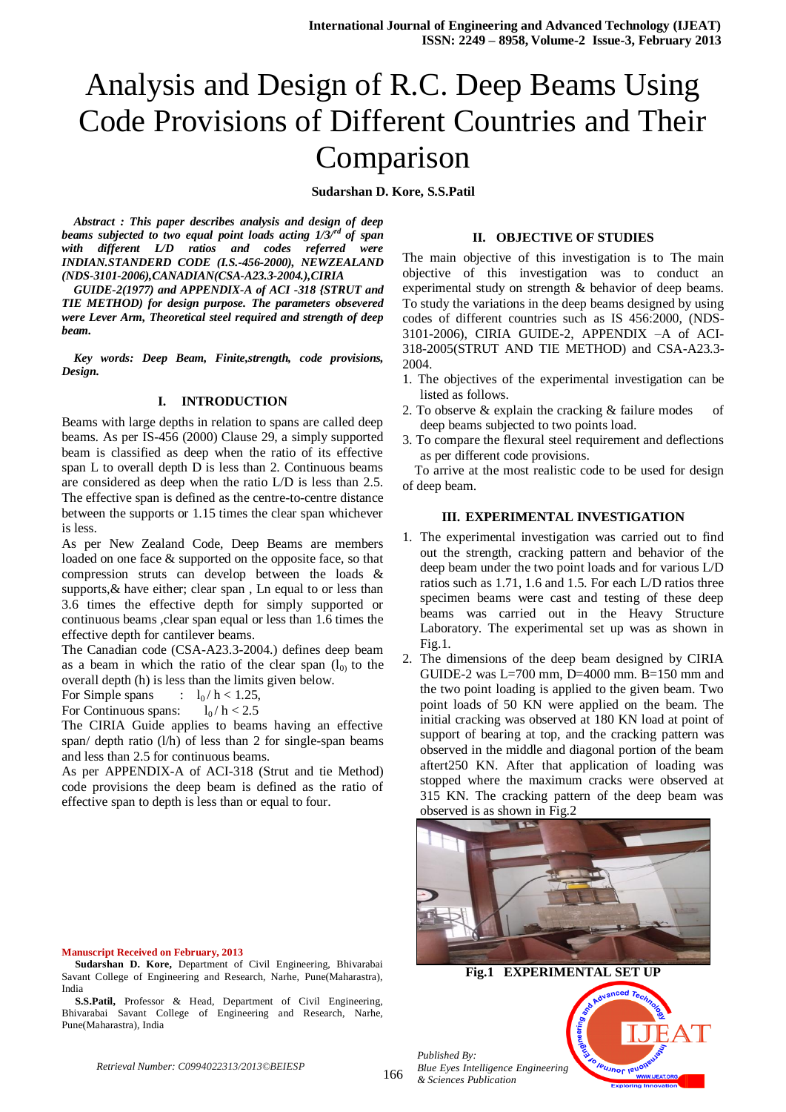# Analysis and Design of R.C. Deep Beams Using Code Provisions of Different Countries and Their Comparison

**Sudarshan D. Kore, S.S.Patil**

*Abstract : This paper describes analysis and design of deep beams subjected to two equal point loads acting 1/3/rd of span with different L/D ratios and codes referred were INDIAN.STANDERD CODE (I.S.-456-2000), NEWZEALAND (NDS-3101-2006),CANADIAN(CSA-A23.3-2004.),CIRIA* 

*GUIDE-2(1977) and APPENDIX-A of ACI -318 {STRUT and TIE METHOD) for design purpose. The parameters obsevered were Lever Arm, Theoretical steel required and strength of deep beam.*

*Key words: Deep Beam, Finite,strength, code provisions, Design.*

#### **I. INTRODUCTION**

Beams with large depths in relation to spans are called deep beams. As per IS-456 (2000) Clause 29, a simply supported beam is classified as deep when the ratio of its effective span L to overall depth D is less than 2. Continuous beams are considered as deep when the ratio L/D is less than 2.5. The effective span is defined as the centre-to-centre distance between the supports or 1.15 times the clear span whichever is less.

As per New Zealand Code, Deep Beams are members loaded on one face & supported on the opposite face, so that compression struts can develop between the loads & supports, & have either; clear span, Ln equal to or less than 3.6 times the effective depth for simply supported or continuous beams ,clear span equal or less than 1.6 times the effective depth for cantilever beams.

The Canadian code (CSA-A23.3-2004.) defines deep beam as a beam in which the ratio of the clear span  $(l_0)$  to the overall depth (h) is less than the limits given below.

For Simple spans :  $l_0 / h < 1.25$ ,

For Continuous spans:  $l_0 / h < 2.5$ 

The CIRIA Guide applies to beams having an effective span/ depth ratio (l/h) of less than 2 for single-span beams and less than 2.5 for continuous beams.

As per APPENDIX-A of ACI-318 (Strut and tie Method) code provisions the deep beam is defined as the ratio of effective span to depth is less than or equal to four.

## **II. OBJECTIVE OF STUDIES**

The main objective of this investigation is to The main objective of this investigation was to conduct an experimental study on strength & behavior of deep beams. To study the variations in the deep beams designed by using codes of different countries such as IS 456:2000, (NDS-3101-2006), CIRIA GUIDE-2, APPENDIX –A of ACI-318-2005(STRUT AND TIE METHOD) and CSA-A23.3- 2004.

- 1. The objectives of the experimental investigation can be listed as follows.
- 2. To observe & explain the cracking & failure modes of deep beams subjected to two points load.
- 3. To compare the flexural steel requirement and deflections as per different code provisions.

To arrive at the most realistic code to be used for design of deep beam.

## **III. EXPERIMENTAL INVESTIGATION**

- 1. The experimental investigation was carried out to find out the strength, cracking pattern and behavior of the deep beam under the two point loads and for various L/D ratios such as 1.71, 1.6 and 1.5. For each L/D ratios three specimen beams were cast and testing of these deep beams was carried out in the Heavy Structure Laboratory. The experimental set up was as shown in Fig.1.
- 2. The dimensions of the deep beam designed by CIRIA GUIDE-2 was  $L=700$  mm, D=4000 mm, B=150 mm and the two point loading is applied to the given beam. Two point loads of 50 KN were applied on the beam. The initial cracking was observed at 180 KN load at point of support of bearing at top, and the cracking pattern was observed in the middle and diagonal portion of the beam aftert250 KN. After that application of loading was stopped where the maximum cracks were observed at 315 KN. The cracking pattern of the deep beam was observed is as shown in Fig.2



**Fig.1 EXPERIMENTAL SET UP**

# **Sudarshan D. Kore,** Department of Civil Engineering, Bhivarabai

**Manuscript Received on February, 2013**

Savant College of Engineering and Research, Narhe, Pune(Maharastra), India

**S.S.Patil,** Professor & Head, Department of Civil Engineering, Bhivarabai Savant College of Engineering and Research, Narhe, Pune(Maharastra), India

> *Published By: Blue Eyes Intelligence Engineering & Sciences Publication*



*Retrieval Number: C0994022313/2013©BEIESP*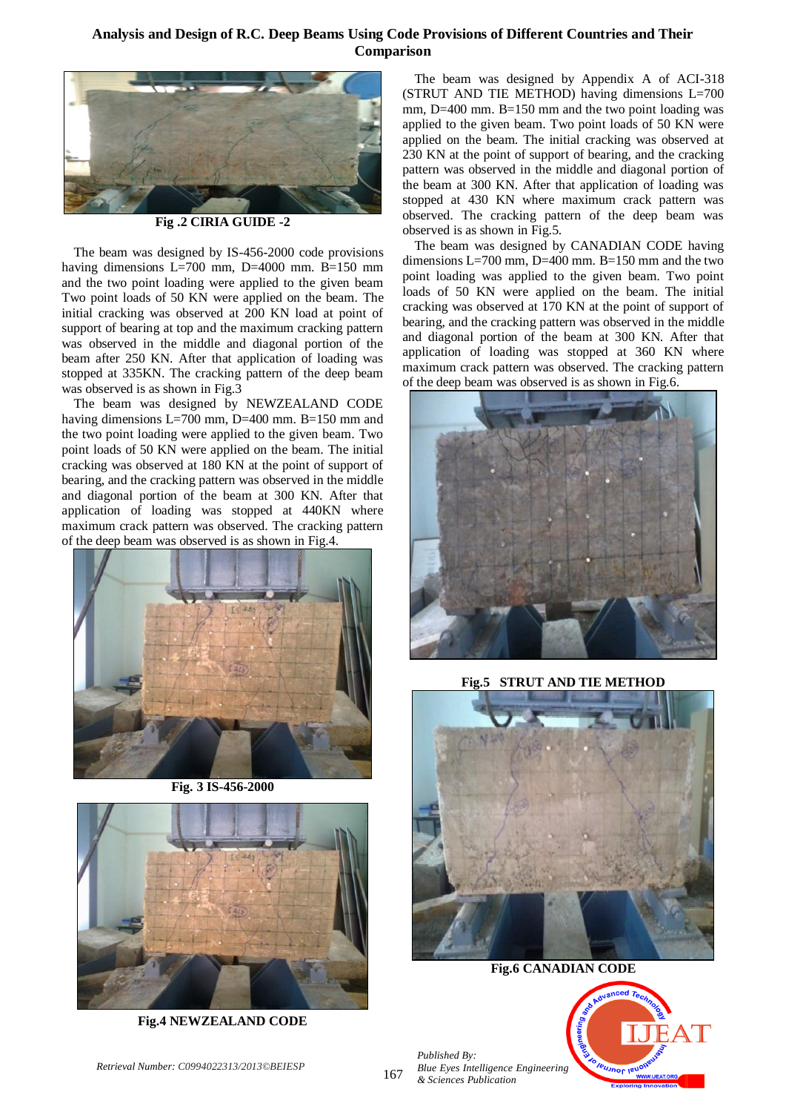# **Analysis and Design of R.C. Deep Beams Using Code Provisions of Different Countries and Their Comparison**



**Fig .2 CIRIA GUIDE -2**

The beam was designed by IS-456-2000 code provisions having dimensions L=700 mm, D=4000 mm. B=150 mm and the two point loading were applied to the given beam Two point loads of 50 KN were applied on the beam. The initial cracking was observed at 200 KN load at point of support of bearing at top and the maximum cracking pattern was observed in the middle and diagonal portion of the beam after 250 KN. After that application of loading was stopped at 335KN. The cracking pattern of the deep beam was observed is as shown in Fig.3

The beam was designed by NEWZEALAND CODE having dimensions L=700 mm, D=400 mm. B=150 mm and the two point loading were applied to the given beam. Two point loads of 50 KN were applied on the beam. The initial cracking was observed at 180 KN at the point of support of bearing, and the cracking pattern was observed in the middle and diagonal portion of the beam at 300 KN. After that application of loading was stopped at 440KN where maximum crack pattern was observed. The cracking pattern of the deep beam was observed is as shown in Fig.4.



**Fig. 3 IS-456-2000**



**Fig.4 NEWZEALAND CODE**

The beam was designed by Appendix A of ACI-318 (STRUT AND TIE METHOD) having dimensions L=700 mm, D=400 mm. B=150 mm and the two point loading was applied to the given beam. Two point loads of 50 KN were applied on the beam. The initial cracking was observed at 230 KN at the point of support of bearing, and the cracking pattern was observed in the middle and diagonal portion of the beam at 300 KN. After that application of loading was stopped at 430 KN where maximum crack pattern was observed. The cracking pattern of the deep beam was observed is as shown in Fig.5.

The beam was designed by CANADIAN CODE having dimensions L=700 mm, D=400 mm. B=150 mm and the two point loading was applied to the given beam. Two point loads of 50 KN were applied on the beam. The initial cracking was observed at 170 KN at the point of support of bearing, and the cracking pattern was observed in the middle and diagonal portion of the beam at 300 KN. After that application of loading was stopped at 360 KN where maximum crack pattern was observed. The cracking pattern of the deep beam was observed is as shown in Fig.6.



**Fig.5 STRUT AND TIE METHOD**



**Fig.6 CANADIAN CODE**



*Published By: Blue Eyes Intelligence Engineering & Sciences Publication*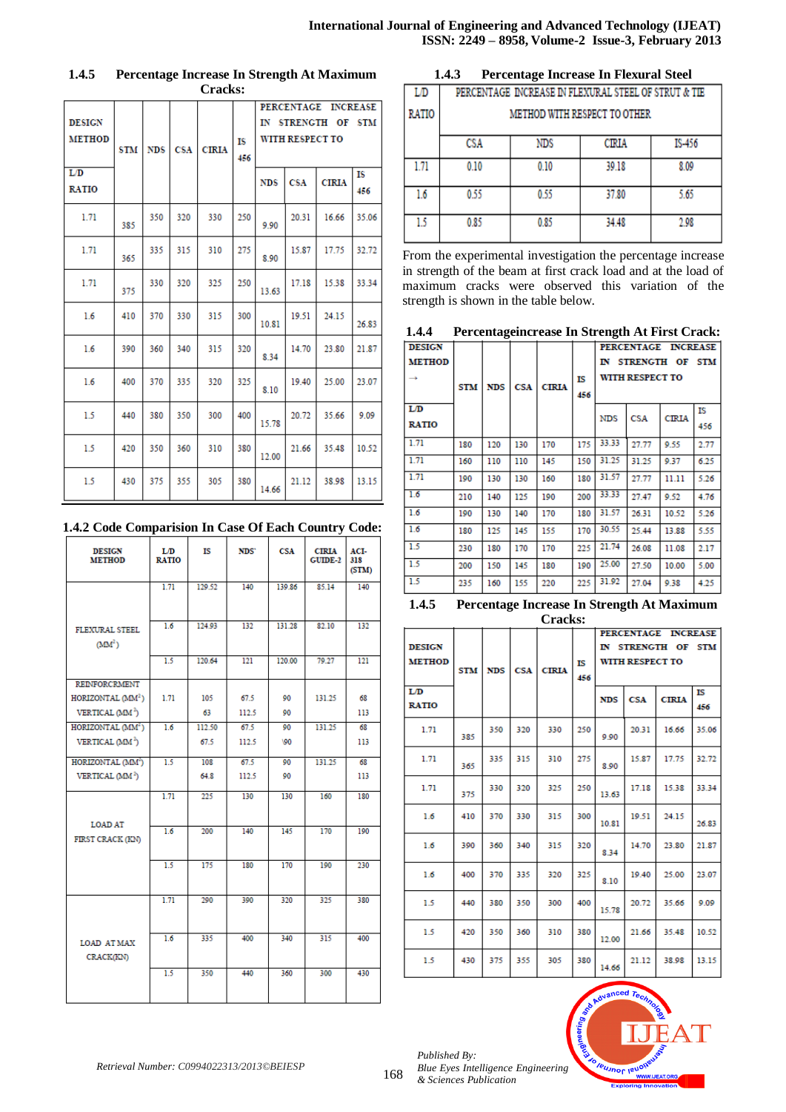| <b>DESIGN</b><br><b>METHOD</b> | <b>STM</b> | <b>NDS</b> | <b>CSA</b> | <b>CIRIA</b> | IS<br>456 | <b>PERCENTAGE</b><br>IN<br><b>STRENGTH</b><br>ΟF<br>WITH RESPECT TO |            |              | <b>INCREASE</b><br>STM |
|--------------------------------|------------|------------|------------|--------------|-----------|---------------------------------------------------------------------|------------|--------------|------------------------|
| L/D<br><b>RATIO</b>            |            |            |            |              |           | <b>NDS</b>                                                          | <b>CSA</b> | <b>CIRIA</b> | ΙS<br>456              |
| 1.71                           | 385        | 350        | 320        | 330          | 250       | 9.90                                                                | 20.31      | 16.66        | 35.06                  |
| 1.71                           | 365        | 335        | 315        | 310          | 275       | 8.90                                                                | 15.87      | 17.75        | 32.72                  |
| 1.71                           | 375        | 330        | 320        | 325          | 250       | 13.63                                                               | 17.18      | 15.38        | 33.34                  |
| 1.6                            | 410        | 370        | 330        | 315          | 300       | 10.81                                                               | 19.51      | 24.15        | 26.83                  |
| 1.6                            | 390        | 360        | 340        | 315          | 320       | 8.34                                                                | 14.70      | 23.80        | 21.87                  |
| 1.6                            | 400        | 370        | 335        | 320          | 325       | 8.10                                                                | 19.40      | 25.00        | 23.07                  |
| 1.5                            | 440        | 380        | 350        | 300          | 400       | 15.78                                                               | 20.72      | 35.66        | 9.09                   |
| 1.5                            | 420        | 350        | 360        | 310          | 380       | 12.00                                                               | 21.66      | 35.48        | 10.52                  |
| 1.5                            | 430        | 375        | 355        | 305          | 380       | 14.66                                                               | 21.12      | 38.98        | 13.15                  |

## **1.4.5 Percentage Increase In Strength At Maximum Cracks:**

# **1.4.2 Code Comparision In Case Of Each Country Code:**

| <b>DESIGN</b><br><b>METHOD</b>         | L/D<br><b>RATIO</b> | ΙS     | NDS'  | <b>CSA</b> | <b>CIRIA</b><br><b>GUIDE-2</b> | ACI-<br>318<br>(STM) |
|----------------------------------------|---------------------|--------|-------|------------|--------------------------------|----------------------|
|                                        | 1.71                | 129.52 | 140   | 139.86     | 85.14                          | 140                  |
| FLEXURAL STEEL<br>(MM <sup>2</sup> )   | 1.6                 | 124.93 | 132   | 131.28     | 82.10                          | 132                  |
|                                        | 1.5                 | 120.64 | 121   | 120.00     | 79.27                          | 121                  |
| <b>REINFORCRMENT</b>                   |                     |        |       |            |                                |                      |
| HORIZONTAL (MM <sup>2</sup> )          | 1.71                | 105    | 67.5  | 90         | 131.25                         | 68                   |
| VERTICAL (MM <sup>2</sup> )            |                     | 63     | 112.5 | 90         |                                | 113                  |
| HORIZONTAL (MM <sup>2</sup> )          | 1.6                 | 112.50 | 67.5  | 90         | 131.25                         | 68                   |
| VERTICAL (MM <sup>2</sup> )            |                     | 67.5   | 112.5 | 100        |                                | 113                  |
| HORIZONTAL (MM <sup>2</sup> )          | 1.5                 | 108    | 67.5  | 90         | 131.25                         | 68                   |
| VERTICAL (MM <sup>2</sup> )            |                     | 64.8   | 112.5 | 90         |                                | 113                  |
| <b>LOAD AT</b>                         | 1.71                | 225    | 130   | 130        | 160                            | 180                  |
| FIRST CRACK (KN)                       | 1.6                 | 200    | 140   | 145        | 170                            | 190                  |
|                                        | $\overline{1.5}$    | 175    | 180   | 170        | 190                            | 230                  |
|                                        | 1.71                | 290    | 300   | 320        | 325                            | 380                  |
| <b>LOAD AT MAX</b><br><b>CRACK(KN)</b> | 1.6                 | 335    | 400   | 340        | 315                            | 400                  |
|                                        | 1.5                 | 350    | 440   | 360        | 300                            | 430                  |

| 1.4.3 | <b>Percentage Increase In Flexural Steel</b> |  |  |
|-------|----------------------------------------------|--|--|
|       |                                              |  |  |

| LD           | PERCENTAGE INCREASE IN FLEXURAL STEEL OF STRUT & TIE |      |       |      |  |  |  |  |  |
|--------------|------------------------------------------------------|------|-------|------|--|--|--|--|--|
| <b>RATIO</b> | <b>METHOD WITH RESPECT TO OTHER</b>                  |      |       |      |  |  |  |  |  |
|              | CSA<br><b>NDS</b><br>IS-456<br>CIRIA                 |      |       |      |  |  |  |  |  |
| 1.71         | 0.10                                                 | 0.10 | 39.18 | 8.09 |  |  |  |  |  |
| 1.6          | 0.55                                                 | 0.55 | 37.80 | 5.65 |  |  |  |  |  |
| 15           | 0.85                                                 | 0.85 | 34.48 | 2.98 |  |  |  |  |  |

From the experimental investigation the percentage increase in strength of the beam at first crack load and at the load of maximum cracks were observed this variation of the strength is shown in the table below.

| 1.4.4 | Percentage increase In Strength At First Crack: |  |  |
|-------|-------------------------------------------------|--|--|
|       |                                                 |  |  |

| <b>DESIGN</b> |            | $\cdots$   |     |              |     |            |                 | PERCENTAGE INCREASE |      |
|---------------|------------|------------|-----|--------------|-----|------------|-----------------|---------------------|------|
| <b>METHOD</b> |            |            |     |              |     |            |                 | IN STRENGTH OF STM  |      |
| $\rightarrow$ |            |            |     |              | IS  |            | WITH RESPECT TO |                     |      |
|               | <b>STM</b> | <b>NDS</b> | CSA | <b>CIRIA</b> | 456 |            |                 |                     |      |
| LD            |            |            |     |              |     | <b>NDS</b> | <b>CSA</b>      | <b>CIRIA</b>        | IS   |
| <b>RATIO</b>  |            |            |     |              |     |            |                 |                     | 456  |
| 1.71          | 180        | 120        | 130 | 170          | 175 | 33.33      | 27.77           | 9.55                | 2.77 |
| 1.71          | 160        | 110        | 110 | 145          | 150 | 31.25      | 31.25           | 9.37                | 6.25 |
| 1.71          | 190        | 130        | 130 | 160          | 180 | 31.57      | 27.77           | 11.11               | 5.26 |
| 1.6           | 210        | 140        | 125 | 190          | 200 | 33.33      | 27.47           | 9.52                | 4.76 |
| 1.6           | 190        | 130        | 140 | 170          | 180 | 31.57      | 26.31           | 10.52               | 5.26 |
| 1.6           | 180        | 125        | 145 | 155          | 170 | 30.55      | 25.44           | 13.88               | 5.55 |
| 1.5           | 230        | 180        | 170 | 170          | 225 | 21.74      | 26.08           | 11.08               | 2.17 |
| 1.5           | 200        | 150        | 145 | 180          | 190 | 25.00      | 27.50           | 10.00               | 5.00 |
| 1.5           | 235        | 160        | 155 | 220          | 225 | 31.92      | 27.04           | 9.38                | 4.25 |

#### **1.4.5 Percentage Increase In Strength At Maximum Cracks:**

| uuss                                 |            |            |            |              |           |                                                                     |            |              |           |
|--------------------------------------|------------|------------|------------|--------------|-----------|---------------------------------------------------------------------|------------|--------------|-----------|
| <b>DESIGN</b><br><b>METHOD</b><br>LD | <b>STM</b> | <b>NDS</b> | <b>CSA</b> | <b>CIRIA</b> | IS<br>456 | PERCENTAGE INCREASE<br>IN STRENGTH OF STM<br><b>WITH RESPECT TO</b> |            |              |           |
| <b>RATIO</b>                         |            |            |            |              |           | <b>NDS</b>                                                          | <b>CSA</b> | <b>CIRIA</b> | IS<br>456 |
| 1.71                                 | 385        | 350        | 320        | 330          | 250       | 9.90                                                                | 20.31      | 16.66        | 35.06     |
| 1.71                                 | 365        | 335        | 315        | 310          | 275       | 8.90                                                                | 15.87      | 17.75        | 32.72     |
| 1.71                                 | 375        | 330        | 320        | 325          | 250       | 13.63                                                               | 17.18      | 15.38        | 33.34     |
| 1.6                                  | 410        | 370        | 330        | 315          | 300       | 10.81                                                               | 19.51      | 24.15        | 26.83     |
| 1.6                                  | 390        | 360        | 340        | 315          | 320       | 8.34                                                                | 14.70      | 23.80        | 21.87     |
| 1.6                                  | 400        | 370        | 335        | 320          | 325       | 8.10                                                                | 19.40      | 25.00        | 23.07     |
| 15                                   | 440        | 380        | 350        | 300          | 400       | 15.78                                                               | 20.72      | 35.66        | 9.09      |
| 1.5                                  | 420        | 350        | 360        | 310          | 380       | 12.00                                                               | 21.66      | 35.48        | 10.52     |
| 1.5                                  | 430        | 375        | 355        | 305          | 380       | 14.66                                                               | 21.12      | 38.98        | 13.15     |



*Published By:*